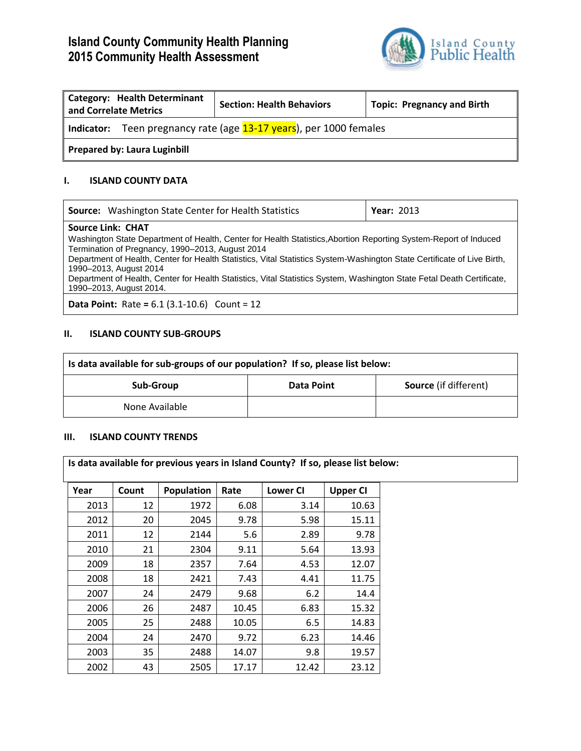# **Island County Community Health Planning 2015 Community Health Assessment**



| Category: Health Determinant<br>and Correlate Metrics                    |  | <b>Section: Health Behaviors</b> | <b>Topic: Pregnancy and Birth</b> |  |  |
|--------------------------------------------------------------------------|--|----------------------------------|-----------------------------------|--|--|
| Teen pregnancy rate (age 13-17 years), per 1000 females<br>   Indicator: |  |                                  |                                   |  |  |
| Prepared by: Laura Luginbill                                             |  |                                  |                                   |  |  |

### **I. ISLAND COUNTY DATA**

| <b>Source:</b> Washington State Center for Health Statistics                                                                                                                                                                                                                                                                                                                                                                                                                   | <b>Year: 2013</b> |
|--------------------------------------------------------------------------------------------------------------------------------------------------------------------------------------------------------------------------------------------------------------------------------------------------------------------------------------------------------------------------------------------------------------------------------------------------------------------------------|-------------------|
| <b>Source Link: CHAT</b>                                                                                                                                                                                                                                                                                                                                                                                                                                                       |                   |
| Washington State Department of Health, Center for Health Statistics, Abortion Reporting System-Report of Induced<br>Termination of Pregnancy, 1990-2013, August 2014<br>Department of Health, Center for Health Statistics, Vital Statistics System-Washington State Certificate of Live Birth,<br>1990-2013, August 2014<br>Department of Health, Center for Health Statistics, Vital Statistics System, Washington State Fetal Death Certificate,<br>1990-2013, August 2014. |                   |
|                                                                                                                                                                                                                                                                                                                                                                                                                                                                                |                   |

**Data Point:** Rate **=** 6.1 (3.1-10.6) Count = 12

## **II. ISLAND COUNTY SUB-GROUPS**

| Is data available for sub-groups of our population? If so, please list below: |  |  |  |  |  |
|-------------------------------------------------------------------------------|--|--|--|--|--|
| <b>Source</b> (if different)<br><b>Data Point</b><br>Sub-Group                |  |  |  |  |  |
| None Available                                                                |  |  |  |  |  |

#### **III. ISLAND COUNTY TRENDS**

| Is data available for previous years in Island County? If so, please list below: |       |            |       |                 |                 |  |
|----------------------------------------------------------------------------------|-------|------------|-------|-----------------|-----------------|--|
| Year                                                                             | Count | Population | Rate  | <b>Lower CI</b> | <b>Upper CI</b> |  |
| 2013                                                                             | 12    | 1972       | 6.08  | 3.14            | 10.63           |  |
| 2012                                                                             | 20    | 2045       | 9.78  | 5.98            | 15.11           |  |
| 2011                                                                             | 12    | 2144       | 5.6   | 2.89            | 9.78            |  |
| 2010                                                                             | 21    | 2304       | 9.11  | 5.64            | 13.93           |  |
| 2009                                                                             | 18    | 2357       | 7.64  | 4.53            | 12.07           |  |
| 2008                                                                             | 18    | 2421       | 7.43  | 4.41            | 11.75           |  |
| 2007                                                                             | 24    | 2479       | 9.68  | 6.2             | 14.4            |  |
| 2006                                                                             | 26    | 2487       | 10.45 | 6.83            | 15.32           |  |
| 2005                                                                             | 25    | 2488       | 10.05 | 6.5             | 14.83           |  |
| 2004                                                                             | 24    | 2470       | 9.72  | 6.23            | 14.46           |  |
| 2003                                                                             | 35    | 2488       | 14.07 | 9.8             | 19.57           |  |
| 2002                                                                             | 43    | 2505       | 17.17 | 12.42           | 23.12           |  |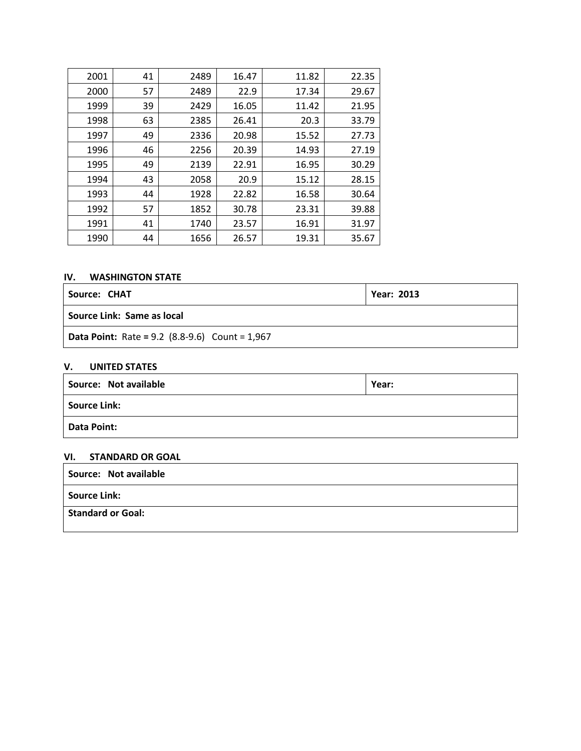| 2001 | 41 | 2489 | 16.47 | 11.82 | 22.35 |
|------|----|------|-------|-------|-------|
| 2000 | 57 | 2489 | 22.9  | 17.34 | 29.67 |
| 1999 | 39 | 2429 | 16.05 | 11.42 | 21.95 |
| 1998 | 63 | 2385 | 26.41 | 20.3  | 33.79 |
| 1997 | 49 | 2336 | 20.98 | 15.52 | 27.73 |
| 1996 | 46 | 2256 | 20.39 | 14.93 | 27.19 |
| 1995 | 49 | 2139 | 22.91 | 16.95 | 30.29 |
| 1994 | 43 | 2058 | 20.9  | 15.12 | 28.15 |
| 1993 | 44 | 1928 | 22.82 | 16.58 | 30.64 |
| 1992 | 57 | 1852 | 30.78 | 23.31 | 39.88 |
| 1991 | 41 | 1740 | 23.57 | 16.91 | 31.97 |
| 1990 | 44 | 1656 | 26.57 | 19.31 | 35.67 |

## **IV. WASHINGTON STATE**

| Source: CHAT                                              | <b>Year: 2013</b> |
|-----------------------------------------------------------|-------------------|
| <b>Source Link: Same as local</b>                         |                   |
| <b>Data Point:</b> Rate = $9.2$ (8.8-9.6) Count = $1,967$ |                   |

## **V. UNITED STATES**

| Source: Not available | Year: |  |  |
|-----------------------|-------|--|--|
| <b>Source Link:</b>   |       |  |  |
| <b>Data Point:</b>    |       |  |  |

#### **VI. STANDARD OR GOAL**

| Source: Not available |  |
|-----------------------|--|
| Source Link:          |  |
| Standard or Goal:     |  |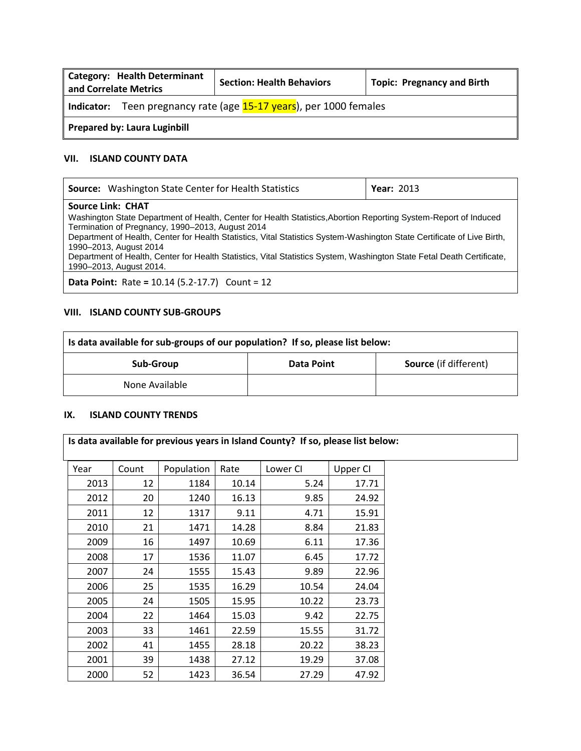| <b>Category: Health Determinant</b><br>and Correlate Metrics       | <b>Section: Health Behaviors</b> | <b>Topic: Pregnancy and Birth</b> |  |  |
|--------------------------------------------------------------------|----------------------------------|-----------------------------------|--|--|
| Indicator: Teen pregnancy rate (age 15-17 years), per 1000 females |                                  |                                   |  |  |
| <b>Prepared by: Laura Luginbill</b>                                |                                  |                                   |  |  |

## **VII. ISLAND COUNTY DATA**

| <b>Source:</b> Washington State Center for Health Statistics                                                                                                         | <b>Year: 2013</b> |  |  |  |
|----------------------------------------------------------------------------------------------------------------------------------------------------------------------|-------------------|--|--|--|
| <b>Source Link: CHAT</b>                                                                                                                                             |                   |  |  |  |
| Washington State Department of Health, Center for Health Statistics, Abortion Reporting System-Report of Induced<br>Termination of Pregnancy, 1990–2013, August 2014 |                   |  |  |  |
| Department of Health, Center for Health Statistics, Vital Statistics System-Washington State Certificate of Live Birth,<br>1990-2013, August 2014                    |                   |  |  |  |
| Department of Health, Center for Health Statistics, Vital Statistics System, Washington State Fetal Death Certificate,<br>1990–2013, August 2014.                    |                   |  |  |  |
| <b>Data Point:</b> Rate = $10.14$ (5.2-17.7) Count = $12$                                                                                                            |                   |  |  |  |

## **VIII. ISLAND COUNTY SUB-GROUPS**

| Is data available for sub-groups of our population? If so, please list below: |  |  |  |  |  |
|-------------------------------------------------------------------------------|--|--|--|--|--|
| <b>Source</b> (if different)<br>Sub-Group<br>Data Point                       |  |  |  |  |  |
| None Available                                                                |  |  |  |  |  |

## **IX. ISLAND COUNTY TRENDS**

| Year | Count | Population | Rate  | Lower CI | Upper CI |
|------|-------|------------|-------|----------|----------|
| 2013 | 12    | 1184       | 10.14 | 5.24     | 17.71    |
| 2012 | 20    | 1240       | 16.13 | 9.85     | 24.92    |
| 2011 | 12    | 1317       | 9.11  | 4.71     | 15.91    |
| 2010 | 21    | 1471       | 14.28 | 8.84     | 21.83    |
| 2009 | 16    | 1497       | 10.69 | 6.11     | 17.36    |
| 2008 | 17    | 1536       | 11.07 | 6.45     | 17.72    |
| 2007 | 24    | 1555       | 15.43 | 9.89     | 22.96    |
| 2006 | 25    | 1535       | 16.29 | 10.54    | 24.04    |
| 2005 | 24    | 1505       | 15.95 | 10.22    | 23.73    |
| 2004 | 22    | 1464       | 15.03 | 9.42     | 22.75    |
| 2003 | 33    | 1461       | 22.59 | 15.55    | 31.72    |
| 2002 | 41    | 1455       | 28.18 | 20.22    | 38.23    |
| 2001 | 39    | 1438       | 27.12 | 19.29    | 37.08    |
| 2000 | 52    | 1423       | 36.54 | 27.29    | 47.92    |

**Is data available for previous years in Island County? If so, please list below:**